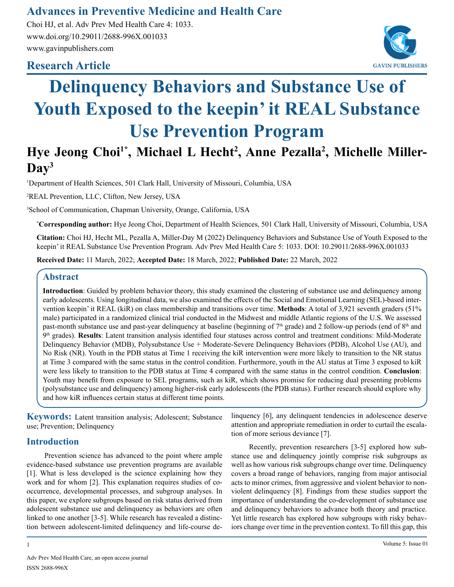## **Advances in Preventive Medicine and Health Care**

Choi HJ, et al. Adv Prev Med Health Care 4: 1033. www.doi.org/10.29011/2688-996X.001033 www.gavinpublishers.com

### **Research Article**



# **Delinquency Behaviors and Substance Use of Youth Exposed to the keepin' it REAL Substance Use Prevention Program**

# Hye Jeong Choi<sup>1\*</sup>, Michael L Hecht<sup>2</sup>, Anne Pezalla<sup>2</sup>, Michelle Miller-**Day3**

1 Department of Health Sciences, 501 Clark Hall, University of Missouri, Columbia, USA

2 REAL Prevention, LLC, Clifton, New Jersey, USA

3 School of Communication, Chapman University, Orange, California, USA

**\* Corresponding author:** Hye Jeong Choi, Department of Health Sciences, 501 Clark Hall, University of Missouri, Columbia, USA

**Citation:** Choi HJ, Hecht ML, Pezalla A, Miller-Day M (2022) Delinquency Behaviors and Substance Use of Youth Exposed to the keepin' it REAL Substance Use Prevention Program. Adv Prev Med Health Care 5: 1033. DOI: 10.29011/2688-996X.001033

**Received Date:** 11 March, 2022; **Accepted Date:** 18 March, 2022; **Published Date:** 22 March, 2022

#### **Abstract**

**Introduction**: Guided by problem behavior theory, this study examined the clustering of substance use and delinquency among early adolescents. Using longitudinal data, we also examined the effects of the Social and Emotional Learning (SEL)-based intervention keepin' it REAL (kiR) on class membership and transitions over time. **Methods**: A total of 3,921 seventh graders (51% male) participated in a randomized clinical trial conducted in the Midwest and middle Atlantic regions of the U.S. We assessed past-month substance use and past-year delinquency at baseline (beginning of  $7<sup>th</sup>$  grade) and 2 follow-up periods (end of  $8<sup>th</sup>$  and 9th grades). **Results**: Latent transition analysis identified four statuses across control and treatment conditions: Mild-Moderate Delinquency Behavior (MDB), Polysubstance Use + Moderate-Severe Delinquency Behaviors (PDB), Alcohol Use (AU), and No Risk (NR). Youth in the PDB status at Time 1 receiving the kiR intervention were more likely to transition to the NR status at Time 3 compared with the same status in the control condition. Furthermore, youth in the AU status at Time 3 exposed to kiR were less likely to transition to the PDB status at Time 4 compared with the same status in the control condition. **Conclusion**: Youth may benefit from exposure to SEL programs, such as kiR, which shows promise for reducing dual presenting problems (polysubstance use and delinquency) among higher-risk early adolescents (the PDB status). Further research should explore why and how kiR influences certain status at different time points.

**Keywords:** Latent transition analysis; Adolescent; Substance use; Prevention; Delinquency

#### **Introduction**

Prevention science has advanced to the point where ample evidence-based substance use prevention programs are available [1]. What is less developed is the science explaining how they work and for whom [2]. This explanation requires studies of cooccurrence, developmental processes, and subgroup analyses. In this paper, we explore subgroups based on risk status derived from adolescent substance use and delinquency as behaviors are often linked to one another [3-5]. While research has revealed a distinction between adolescent-limited delinquency and life-course delinquency [6], any delinquent tendencies in adolescence deserve attention and appropriate remediation in order to curtail the escalation of more serious deviance [7].

Recently, prevention researchers [3-5] explored how substance use and delinquency jointly comprise risk subgroups as well as how various risk subgroups change over time. Delinquency covers a broad range of behaviors, ranging from major antisocial acts to minor crimes, from aggressive and violent behavior to nonviolent delinquency [8]. Findings from these studies support the importance of understanding the co-development of substance use and delinquency behaviors to advance both theory and practice. Yet little research has explored how subgroups with risky behaviors change over time in the prevention context. To fill this gap, this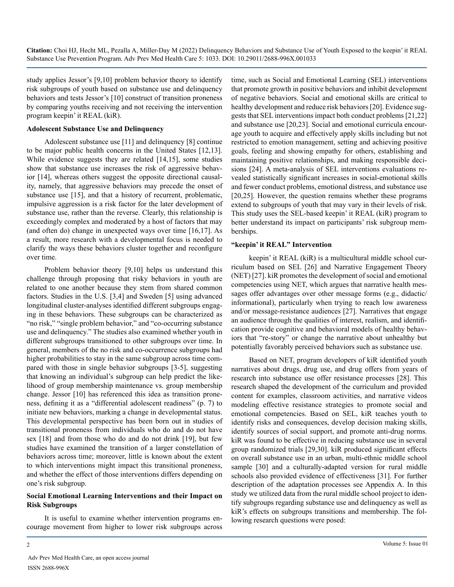study applies Jessor's [9,10] problem behavior theory to identify risk subgroups of youth based on substance use and delinquency behaviors and tests Jessor's [10] construct of transition proneness by comparing youths receiving and not receiving the intervention program keepin' it REAL (kiR).

#### **Adolescent Substance Use and Delinquency**

Adolescent substance use [11] and delinquency [8] continue to be major public health concerns in the United States [12,13]. While evidence suggests they are related [14,15], some studies show that substance use increases the risk of aggressive behavior [14], whereas others suggest the opposite directional causality, namely, that aggressive behaviors may precede the onset of substance use [15], and that a history of recurrent, problematic, impulsive aggression is a risk factor for the later development of substance use, rather than the reverse. Clearly, this relationship is exceedingly complex and moderated by a host of factors that may (and often do) change in unexpected ways over time [16,17]. As a result, more research with a developmental focus is needed to clarify the ways these behaviors cluster together and reconfigure over time.

Problem behavior theory [9,10] helps us understand this challenge through proposing that risky behaviors in youth are related to one another because they stem from shared common factors. Studies in the U.S. [3,4] and Sweden [5] using advanced longitudinal cluster-analyses identified different subgroups engaging in these behaviors. These subgroups can be characterized as "no risk," "single problem behavior," and "co-occurring substance" use and delinquency." The studies also examined whether youth in different subgroups transitioned to other subgroups over time. In general, members of the no risk and co-occurrence subgroups had higher probabilities to stay in the same subgroup across time compared with those in single behavior subgroups [3-5], suggesting that knowing an individual's subgroup can help predict the likelihood of group membership maintenance vs. group membership change. Jessor [10] has referenced this idea as transition proneness, defining it as a "differential adolescent readiness" (p. 7) to initiate new behaviors, marking a change in developmental status. This developmental perspective has been born out in studies of transitional proneness from individuals who do and do not have sex [18] and from those who do and do not drink [19], but few studies have examined the transition of a larger constellation of behaviors across time; moreover, little is known about the extent to which interventions might impact this transitional proneness, and whether the effect of those interventions differs depending on one's risk subgroup.

#### **Social Emotional Learning Interventions and their Impact on Risk Subgroups**

It is useful to examine whether intervention programs encourage movement from higher to lower risk subgroups across

time, such as Social and Emotional Learning (SEL) interventions that promote growth in positive behaviors and inhibit development of negative behaviors. Social and emotional skills are critical to healthy development and reduce risk behaviors [20]. Evidence suggests that SEL interventions impact both conduct problems [21,22] and substance use [20,23]. Social and emotional curricula encourage youth to acquire and effectively apply skills including but not restricted to emotion management, setting and achieving positive goals, feeling and showing empathy for others, establishing and maintaining positive relationships, and making responsible decisions [24]. A meta-analysis of SEL interventions evaluations revealed statistically significant increases in social-emotional skills and fewer conduct problems, emotional distress, and substance use [20,25]. However, the question remains whether these programs extend to subgroups of youth that may vary in their levels of risk. This study uses the SEL-based keepin' it REAL (kiR) program to better understand its impact on participants' risk subgroup memberships.

#### **"keepin' it REAL" Intervention**

keepin' it REAL (kiR) is a multicultural middle school curriculum based on SEL [26] and Narrative Engagement Theory (NET) [27]. kiR promotes the development of social and emotional competencies using NET, which argues that narrative health messages offer advantages over other message forms (e.g., didactic/ informational), particularly when trying to reach low awareness and/or message-resistance audiences [27]. Narratives that engage an audience through the qualities of interest, realism, and identification provide cognitive and behavioral models of healthy behaviors that "re-story" or change the narrative about unhealthy but potentially favorably perceived behaviors such as substance use.

Based on NET, program developers of kiR identified youth narratives about drugs, drug use, and drug offers from years of research into substance use offer resistance processes [28]. This research shaped the development of the curriculum and provided content for examples, classroom activities, and narrative videos modeling effective resistance strategies to promote social and emotional competencies. Based on SEL, kiR teaches youth to identify risks and consequences, develop decision making skills, identify sources of social support, and promote anti-drug norms. kiR was found to be effective in reducing substance use in several group randomized trials [29,30]. kiR produced significant effects on overall substance use in an urban, multi-ethnic middle school sample [30] and a culturally-adapted version for rural middle schools also provided evidence of effectiveness [31]. For further description of the adaptation processes see Appendix A. In this study we utilized data from the rural middle school project to identify subgroups regarding substance use and delinquency as well as kiR's effects on subgroups transitions and membership. The following research questions were posed: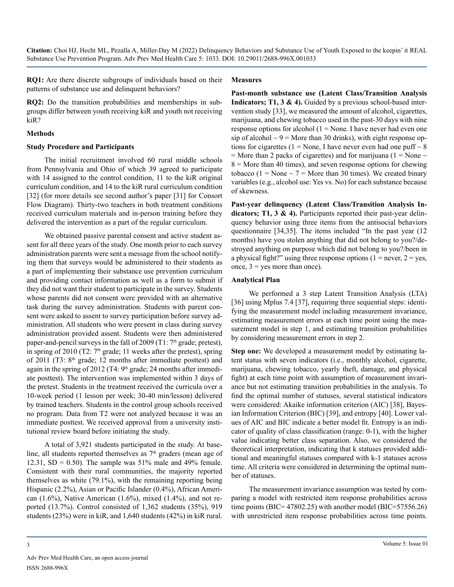**RQ1:** Are there discrete subgroups of individuals based on their patterns of substance use and delinquent behaviors?

#### **Measures**

**RQ2:** Do the transition probabilities and memberships in subgroups differ between youth receiving kiR and youth not receiving kiR?

#### **Methods**

#### **Study Procedure and Participants**

The initial recruitment involved 60 rural middle schools from Pennsylvania and Ohio of which 39 agreed to participate with 14 assigned to the control condition, 11 to the kiR original curriculum condition, and 14 to the kiR rural curriculum condition [32] (for more details see second author's paper [31] for Consort Flow Diagram). Thirty-two teachers in both treatment conditions received curriculum materials and in-person training before they delivered the intervention as a part of the regular curriculum.

We obtained passive parental consent and active student assent for all three years of the study. One month prior to each survey administration parents were sent a message from the school notifying them that surveys would be administered to their students as a part of implementing their substance use prevention curriculum and providing contact information as well as a form to submit if they did not want their student to participate in the survey. Students whose parents did not consent were provided with an alternative task during the survey administration. Students with parent consent were asked to assent to survey participation before survey administration. All students who were present in class during survey administration provided assent. Students were then administered paper-and-pencil surveys in the fall of 2009 (T1:  $7<sup>th</sup>$  grade; pretest), in spring of 2010 (T2:  $7<sup>th</sup>$  grade; 11 weeks after the pretest), spring of 2011 (T3: 8th grade; 12 months after immediate posttest) and again in the spring of 2012 (T4:  $9<sup>th</sup>$  grade; 24 months after immediate posttest). The intervention was implemented within 3 days of the pretest. Students in the treatment received the curricula over a 10-week period (1 lesson per week; 30-40 min/lesson) delivered by trained teachers. Students in the control group schools received no program. Data from T2 were not analyzed because it was an immediate posttest. We received approval from a university institutional review board before initiating the study.

A total of 3,921 students participated in the study. At baseline, all students reported themselves as  $7<sup>th</sup>$  graders (mean age of 12.31,  $SD = 0.50$ . The sample was 51% male and 49% female. Consistent with their rural communities, the majority reported themselves as white (79.1%), with the remaining reporting being Hispanic (2.2%), Asian or Pacific Islander (0.4%), African American  $(1.6\%)$ , Native American  $(1.6\%)$ , mixed  $(1.4\%)$ , and not reported (13.7%). Control consisted of 1,362 students (35%), 919 students (23%) were in kiR, and 1,640 students (42%) in kiR rural.

**Past-month substance use (Latent Class/Transition Analysis Indicators; T1, 3 & 4).** Guided by a previous school-based intervention study [33], we measured the amount of alcohol, cigarettes, marijuana, and chewing tobacco used in the past-30 days with nine response options for alcohol  $(1 = None$ . I have never had even one sip of alcohol  $\sim$  9 = More than 30 drinks), with eight response options for cigarettes (1 = None, I have never even had one puff  $\sim$  8 = More than 2 packs of cigarettes) and for marijuana ( $1 =$  None  $\sim$  $8 =$  More than 40 times), and seven response options for chewing tobacco (1 = None  $\sim$  7 = More than 30 times). We created binary variables (e.g., alcohol use: Yes vs. No) for each substance because of skewness.

**Past-year delinquency (Latent Class/Transition Analysis Indicators; T1, 3 & 4).** Participants reported their past-year delinquency behavior using three items from the antisocial behaviors questionnaire [34,35]. The items included "In the past year (12 months) have you stolen anything that did not belong to you?/destroyed anything on purpose which did not belong to you?/been in a physical fight?" using three response options  $(1 = never, 2 = yes,$ once,  $3 = yes$  more than once).

#### **Analytical Plan**

We performed a 3 step Latent Transition Analysis (LTA) [36] using Mplus 7.4 [37], requiring three sequential steps: identifying the measurement model including measurement invariance, estimating measurement errors at each time point using the measurement model in step 1, and estimating transition probabilities by considering measurement errors in step 2.

**Step one:** We developed a measurement model by estimating latent status with seven indicators (i.e., monthly alcohol, cigarette, marijuana, chewing tobacco, yearly theft, damage, and physical fight) at each time point with assumption of measurement invariance but not estimating transition probabilities in the analysis. To find the optimal number of statuses, several statistical indicators were considered: Akaike information criterion (AIC) [38], Bayesian Information Criterion (BIC) [39], and entropy [40]. Lower values of AIC and BIC indicate a better model fit. Entropy is an indicator of quality of class classification (range: 0-1), with the higher value indicating better class separation. Also, we considered the theoretical interpretation, indicating that k statuses provided additional and meaningful statuses compared with k-1 statuses across time. All criteria were considered in determining the optimal number of statuses.

The measurement invariance assumption was tested by comparing a model with restricted item response probabilities across time points (BIC= $47802.25$ ) with another model (BIC= $57556.26$ ) with unrestricted item response probabilities across time points.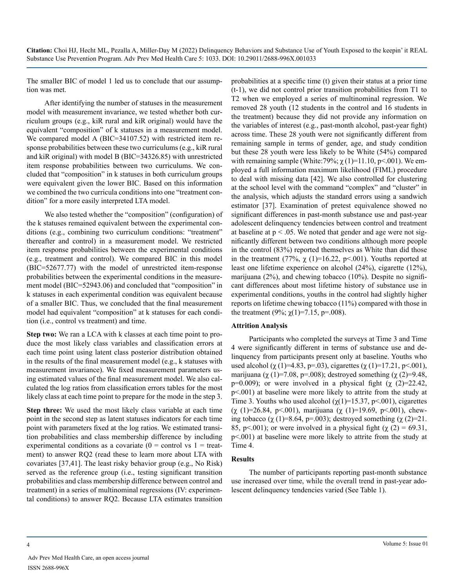The smaller BIC of model 1 led us to conclude that our assumption was met.

After identifying the number of statuses in the measurement model with measurement invariance, we tested whether both curriculum groups (e.g., kiR rural and kiR original) would have the equivalent "composition" of k statuses in a measurement model. We compared model A (BIC=34107.52) with restricted item response probabilities between these two curriculums (e.g., kiR rural and kiR original) with model B (BIC=34326.85) with unrestricted item response probabilities between two curriculums. We concluded that "composition" in k statuses in both curriculum groups were equivalent given the lower BIC. Based on this information we combined the two curricula conditions into one "treatment condition" for a more easily interpreted LTA model.

We also tested whether the "composition" (configuration) of the k statuses remained equivalent between the experimental conditions (e.g., combining two curriculum conditions: "treatment" thereafter and control) in a measurement model. We restricted item response probabilities between the experimental conditions (e.g., treatment and control). We compared BIC in this model (BIC=52677.77) with the model of unrestricted item-response probabilities between the experimental conditions in the measurement model (BIC=52943.06) and concluded that "composition" in k statuses in each experimental condition was equivalent because of a smaller BIC. Thus, we concluded that the final measurement model had equivalent "composition" at k statuses for each condition (i.e., control vs treatment) and time.

**Step two:** We ran a LCA with k classes at each time point to produce the most likely class variables and classification errors at each time point using latent class posterior distribution obtained in the results of the final measurement model (e.g., k statuses with measurement invariance). We fixed measurement parameters using estimated values of the final measurement model. We also calculated the log ratios from classification errors tables for the most likely class at each time point to prepare for the mode in the step 3.

**Step three:** We used the most likely class variable at each time point in the second step as latent statuses indicators for each time point with parameters fixed at the log ratios. We estimated transition probabilities and class membership difference by including experimental conditions as a covariate  $(0 =$  control vs  $1 =$  treatment) to answer RQ2 (read these to learn more about LTA with covariates [37,41]. The least risky behavior group (e.g., No Risk) served as the reference group (i.e., testing significant transition probabilities and class membership difference between control and treatment) in a series of multinominal regressions (IV: experimental conditions) to answer RQ2. Because LTA estimates transition

probabilities at a specific time (t) given their status at a prior time (t-1), we did not control prior transition probabilities from T1 to T2 when we employed a series of multinominal regression. We removed 28 youth (12 students in the control and 16 students in the treatment) because they did not provide any information on the variables of interest (e.g., past-month alcohol, past-year fight) across time. These 28 youth were not significantly different from remaining sample in terms of gender, age, and study condition but these 28 youth were less likely to be White (54%) compared with remaining sample (White:79%;  $\chi(1)=11.10$ , p<.001). We employed a full information maximum likelihood (FIML) procedure to deal with missing data [42]. We also controlled for clustering at the school level with the command "complex" and "cluster" in the analysis, which adjusts the standard errors using a sandwich estimator [37]. Examination of pretest equivalence showed no significant differences in past-month substance use and past-year adolescent delinquency tendencies between control and treatment at baseline at  $p < .05$ . We noted that gender and age were not significantly different between two conditions although more people in the control (83%) reported themselves as White than did those in the treatment (77%,  $\chi$  (1)=16.22, p<.001). Youths reported at least one lifetime experience on alcohol (24%), cigarette (12%), marijuana (2%), and chewing tobacco (10%). Despite no significant differences about most lifetime history of substance use in experimental conditions, youths in the control had slightly higher reports on lifetime chewing tobacco (11%) compared with those in the treatment (9%;  $\chi(1)=7.15$ , p=.008).

#### **Attrition Analysis**

Participants who completed the surveys at Time 3 and Time 4 were significantly different in terms of substance use and delinquency from participants present only at baseline. Youths who used alcohol ( $\chi$  (1)=4.83, p=.03), cigarettes ( $\chi$  (1)=17.21, p<.001), marijuana ( $\chi$  (1)=7.08, p=.008); destroyed something ( $\chi$  (2)=9.48, p=0.009); or were involved in a physical fight  $(\chi$  (2)=22.42, p<.001) at baseline were more likely to attrite from the study at Time 3. Youths who used alcohol  $(\chi(1)=15.37, \text{p} < 0.001)$ , cigarettes (χ (1)=26.84, p<.001), marijuana (χ (1)=19.69, p<.001), chewing tobacco ( $\chi$  (1)=8.64, p=.003); destroyed something ( $\chi$  (2)=21. 85, p<.001); or were involved in a physical fight ( $\chi$  (2) = 69.31, p<.001) at baseline were more likely to attrite from the study at Time 4.

#### **Results**

The number of participants reporting past-month substance use increased over time, while the overall trend in past-year adolescent delinquency tendencies varied (See Table 1).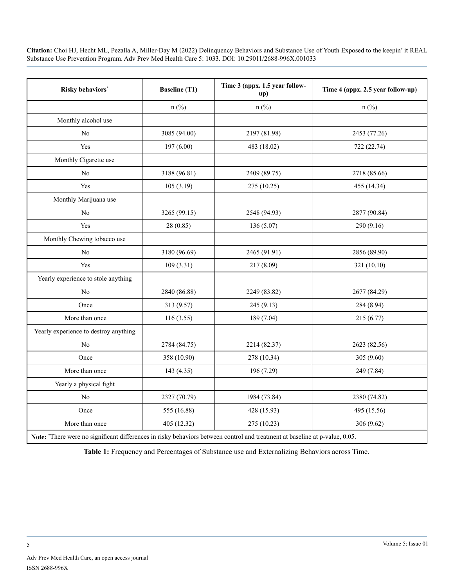| Risky behaviors*                      | <b>Baseline (T1)</b> | Time 3 (appx. 1.5 year follow-<br>up) | Time 4 (appx. 2.5 year follow-up) |
|---------------------------------------|----------------------|---------------------------------------|-----------------------------------|
|                                       | $n$ (%)              | $n$ (%)                               | $n$ (%)                           |
| Monthly alcohol use                   |                      |                                       |                                   |
| No                                    | 3085 (94.00)         | 2197 (81.98)                          | 2453 (77.26)                      |
| Yes                                   | 197(6.00)            | 483 (18.02)                           | 722 (22.74)                       |
| Monthly Cigarette use                 |                      |                                       |                                   |
| No                                    | 3188 (96.81)         | 2409 (89.75)                          | 2718 (85.66)                      |
| Yes                                   | 105(3.19)            | 275 (10.25)                           | 455 (14.34)                       |
| Monthly Marijuana use                 |                      |                                       |                                   |
| No                                    | 3265 (99.15)         | 2548 (94.93)                          | 2877 (90.84)                      |
| Yes                                   | 28(0.85)             | 136 (5.07)                            | 290 (9.16)                        |
| Monthly Chewing tobacco use           |                      |                                       |                                   |
| No                                    | 3180 (96.69)         | 2465 (91.91)                          | 2856 (89.90)                      |
| Yes                                   | 109(3.31)            | 217 (8.09)                            | 321 (10.10)                       |
| Yearly experience to stole anything   |                      |                                       |                                   |
| No                                    | 2840 (86.88)         | 2249 (83.82)                          | 2677 (84.29)                      |
| Once                                  | 313 (9.57)           | 245 (9.13)                            | 284 (8.94)                        |
| More than once                        | 116(3.55)            | 189 (7.04)                            | 215 (6.77)                        |
| Yearly experience to destroy anything |                      |                                       |                                   |
| No                                    | 2784 (84.75)         | 2214 (82.37)                          | 2623 (82.56)                      |
| Once                                  | 358 (10.90)          | 278 (10.34)                           | 305 (9.60)                        |
| More than once                        | 143 (4.35)           | 196 (7.29)                            | 249 (7.84)                        |
| Yearly a physical fight               |                      |                                       |                                   |
| No                                    | 2327 (70.79)         | 1984 (73.84)                          | 2380 (74.82)                      |
| Once                                  | 555 (16.88)          | 428 (15.93)                           | 495 (15.56)                       |
| More than once                        | 405 (12.32)          | 275 (10.23)                           | 306 (9.62)                        |

**Note:** \* There were no significant differences in risky behaviors between control and treatment at baseline at p-value, 0.05.

**Table 1:** Frequency and Percentages of Substance use and Externalizing Behaviors across Time.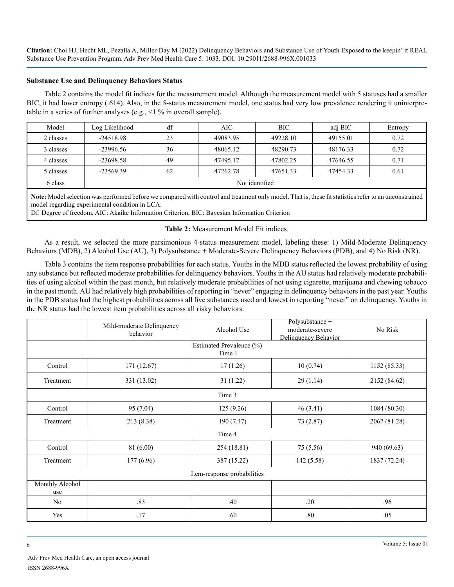#### **Substance Use and Delinquency Behaviors Status**

Table 2 contains the model fit indices for the measurement model. Although the measurement model with 5 statuses had a smaller BIC, it had lower entropy (.614). Also, in the 5-status measurement model, one status had very low prevalence rendering it uninterpretable in a series of further analyses (e.g., <1 % in overall sample).

| Model     | Log Likelihood | df | AIC-     | BIC.     | adj BIC  | Entropy |
|-----------|----------------|----|----------|----------|----------|---------|
| 2 classes | $-24518.98$    | 23 | 49083.95 | 49228.10 | 49155.01 | 0.72    |
| 3 classes | $-23996.56$    | 36 | 48065.12 | 48290.73 | 48176.33 | 0.72    |
| 4 classes | $-23698.58$    | 49 | 47495.17 | 47802.25 | 47646.55 | 0.71    |
| 5 classes | $-23569.39$    | 62 | 47262.78 | 47651.33 | 47454.33 | 0.61    |
| 6 class   | Not identified |    |          |          |          |         |

**Note:** Model selection was performed before we compared with control and treatment only model. That is, these fit statistics refer to an unconstrained model regarding experimental condition in LCA.

Df: Degree of freedom, AIC: Akaike Information Criterion, BIC: Bayesian Information Criterion

#### **Table 2:** Measurement Model Fit indices.

As a result, we selected the more parsimonious 4-status measurement model, labeling these: 1) Mild-Moderate Delinquency Behaviors (MDB), 2) Alcohol Use (AU), 3) Polysubstance + Moderate-Severe Delinquency Behaviors (PDB), and 4) No Risk (NR).

Table 3 contains the item response probabilities for each status. Youths in the MDB status reflected the lowest probability of using any substance but reflected moderate probabilities for delinquency behaviors. Youths in the AU status had relatively moderate probabilities of using alcohol within the past month, but relatively moderate probabilities of not using cigarette, marijuana and chewing tobacco in the past month. AU had relatively high probabilities of reporting in "never" engaging in delinquency behaviors in the past year. Youths in the PDB status had the highest probabilities across all five substances used and lowest in reporting "never" on delinquency. Youths in the NR status had the lowest item probabilities across all risky behaviors.

|                             | Mild-moderate Delinquency<br>behavior | Alcohol Use | Polysubstance +<br>moderate-severe<br>Delinquency Behavior | No Risk      |  |  |  |  |
|-----------------------------|---------------------------------------|-------------|------------------------------------------------------------|--------------|--|--|--|--|
|                             | Estimated Prevalence (%)              |             |                                                            |              |  |  |  |  |
|                             |                                       | Time 1      |                                                            |              |  |  |  |  |
| Control                     | 171 (12.67)                           | 17(1.26)    | 10(0.74)                                                   | 1152(85.33)  |  |  |  |  |
| Treatment                   | 331 (13.02)                           | 31(1.22)    | 29(1.14)                                                   | 2152 (84.62) |  |  |  |  |
|                             |                                       | Time 3      |                                                            |              |  |  |  |  |
| Control                     | 95 (7.04)                             | 125(9.26)   | 46(3.41)                                                   | 1084 (80.30) |  |  |  |  |
| Treatment                   | 213 (8.38)                            | 190 (7.47)  | 73 (2.87)                                                  | 2067 (81.28) |  |  |  |  |
|                             |                                       | Time 4      |                                                            |              |  |  |  |  |
| Control                     | 81 (6.00)                             | 254 (18.81) | 75 (5.56)                                                  | 940 (69.63)  |  |  |  |  |
| Treatment                   | 177 (6.96)                            | 387 (15.22) | 142(5.58)                                                  | 1837 (72.24) |  |  |  |  |
| Item-response probabilities |                                       |             |                                                            |              |  |  |  |  |
| <b>Monthly Alcohol</b>      |                                       |             |                                                            |              |  |  |  |  |
| use                         |                                       |             |                                                            |              |  |  |  |  |
| N <sub>0</sub>              | .83                                   | .40         | .20                                                        | .96          |  |  |  |  |
| Yes                         | .17                                   | .60         | .80                                                        | .05          |  |  |  |  |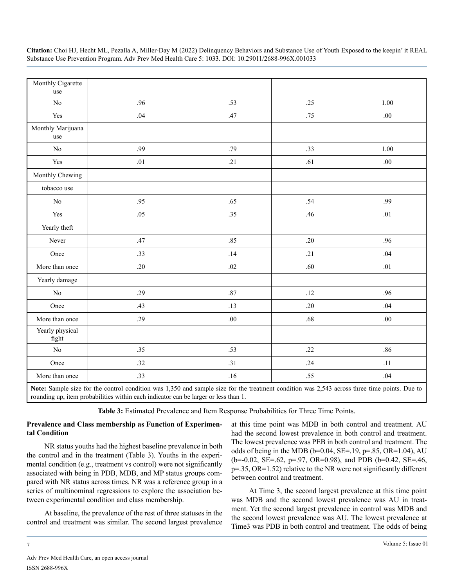| Monthly Cigarette<br>use |         |         |     |         |
|--------------------------|---------|---------|-----|---------|
| No                       | .96     | .53     | .25 | 1.00    |
| Yes                      | .04     | .47     | .75 | $.00\,$ |
| Monthly Marijuana<br>use |         |         |     |         |
| $\rm No$                 | .99     | .79     | .33 | 1.00    |
| Yes                      | $.01\,$ | .21     | .61 | $.00\,$ |
| Monthly Chewing          |         |         |     |         |
| tobacco use              |         |         |     |         |
| $\rm No$                 | .95     | .65     | .54 | .99     |
| Yes                      | .05     | .35     | .46 | .01     |
| Yearly theft             |         |         |     |         |
| Never                    | .47     | .85     | .20 | .96     |
| Once                     | .33     | .14     | .21 | .04     |
| More than once           | .20     | .02     | .60 | $.01\,$ |
| Yearly damage            |         |         |     |         |
| No                       | .29     | $.87\,$ | .12 | .96     |
| Once                     | .43     | .13     | .20 | .04     |
| More than once           | .29     | .00.    | .68 | $.00\,$ |
| Yearly physical<br>fight |         |         |     |         |
| $\rm No$                 | .35     | .53     | .22 | $.86$   |
| Once                     | .32     | .31     | .24 | .11     |
| More than once           | .33     | .16     | .55 | .04     |

**Note:** Sample size for the control condition was 1,350 and sample size for the treatment condition was 2,543 across three time points. Due to rounding up, item probabilities within each indicator can be larger or less than 1.

**Table 3:** Estimated Prevalence and Item Response Probabilities for Three Time Points.

#### **Prevalence and Class membership as Function of Experimental Condition**

NR status youths had the highest baseline prevalence in both the control and in the treatment (Table 3). Youths in the experimental condition (e.g., treatment vs control) were not significantly associated with being in PDB, MDB, and MP status groups compared with NR status across times. NR was a reference group in a series of multinominal regressions to explore the association between experimental condition and class membership.

At baseline, the prevalence of the rest of three statuses in the control and treatment was similar. The second largest prevalence

at this time point was MDB in both control and treatment. AU had the second lowest prevalence in both control and treatment. The lowest prevalence was PEB in both control and treatment. The odds of being in the MDB (b=0.04, SE=.19, p=.85, OR=1.04), AU (b=-0.02, SE=.62, p=.97, OR=0.98), and PDB (b=0.42, SE=.46, p=.35, OR=1.52) relative to the NR were not significantly different between control and treatment.

At Time 3, the second largest prevalence at this time point was MDB and the second lowest prevalence was AU in treatment. Yet the second largest prevalence in control was MDB and the second lowest prevalence was AU. The lowest prevalence at Time3 was PDB in both control and treatment. The odds of being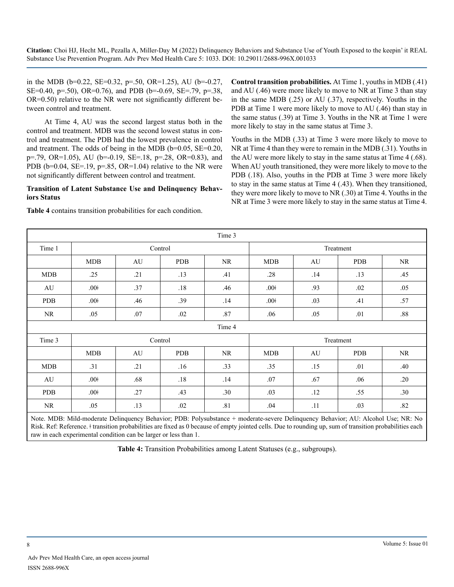in the MDB ( $b=0.22$ , SE=0.32,  $p=.50$ , OR=1.25), AU ( $b=-0.27$ , SE=0.40, p=.50), OR=0.76), and PDB (b=-0.69, SE=.79, p=.38, OR=0.50) relative to the NR were not significantly different between control and treatment.

At Time 4, AU was the second largest status both in the control and treatment. MDB was the second lowest status in control and treatment. The PDB had the lowest prevalence in control and treatment. The odds of being in the MDB (b=0.05, SE=0.20, p=.79, OR=1.05), AU (b=-0.19, SE=.18, p=.28, OR=0.83), and PDB ( $b=0.04$ , SE=.19,  $p=.85$ , OR=1.04) relative to the NR were not significantly different between control and treatment.

#### **Transition of Latent Substance Use and Delinquency Behaviors Status**

**Table 4** contains transition probabilities for each condition.

**Control transition probabilities.** At Time 1, youths in MDB (.41) and AU (.46) were more likely to move to NR at Time 3 than stay in the same MDB (.25) or AU (.37), respectively. Youths in the PDB at Time 1 were more likely to move to AU (.46) than stay in the same status (.39) at Time 3. Youths in the NR at Time 1 were more likely to stay in the same status at Time 3.

Youths in the MDB (.33) at Time 3 were more likely to move to NR at Time 4 than they were to remain in the MDB (.31). Youths in the AU were more likely to stay in the same status at Time 4 (.68). When AU youth transitioned, they were more likely to move to the PDB (.18). Also, youths in the PDB at Time 3 were more likely to stay in the same status at Time 4 (.43). When they transitioned, they were more likely to move to NR (.30) at Time 4. Youths in the NR at Time 3 were more likely to stay in the same status at Time 4.

| Time 3                                                                                                                            |                  |     |            |           |                  |           |            |           |
|-----------------------------------------------------------------------------------------------------------------------------------|------------------|-----|------------|-----------|------------------|-----------|------------|-----------|
| Time 1                                                                                                                            | Control          |     |            | Treatment |                  |           |            |           |
|                                                                                                                                   | <b>MDB</b>       | AU  | <b>PDB</b> | NR.       | MDB              | AU        | <b>PDB</b> | NR.       |
| <b>MDB</b>                                                                                                                        | .25              | .21 | .13        | .41       | .28              | .14       | .13        | .45       |
| AU                                                                                                                                | .00 <sup>†</sup> | .37 | .18        | .46       | .00 <sup>†</sup> | .93       | .02        | .05       |
| <b>PDB</b>                                                                                                                        | .00 <sup>†</sup> | .46 | .39        | .14       | $.00+$           | .03       | .41        | .57       |
| NR                                                                                                                                | .05              | .07 | .02        | .87       | .06              | .05       | .01        | .88       |
|                                                                                                                                   |                  |     |            | Time 4    |                  |           |            |           |
| Time 3                                                                                                                            | Control          |     |            |           |                  | Treatment |            |           |
|                                                                                                                                   | <b>MDB</b>       | AU  | <b>PDB</b> | <b>NR</b> | <b>MDB</b>       | AU        | <b>PDB</b> | <b>NR</b> |
| <b>MDB</b>                                                                                                                        | .31              | .21 | .16        | .33       | .35              | .15       | .01        | .40       |
| AU                                                                                                                                | .00 <sup>†</sup> | .68 | .18        | .14       | .07              | .67       | .06        | .20       |
| <b>PDB</b>                                                                                                                        | .00 <sup>†</sup> | .27 | .43        | .30       | .03              | .12       | .55        | .30       |
| NR.                                                                                                                               | .05              | .13 | .02        | .81       | .04              | .11       | .03        | .82       |
| Note MDR: Mild-moderate Delinquency Rehavior: PDR: Polygubstance + moderate-severe Delinquency Rehavior: AII: Alcohol Use: NR: No |                  |     |            |           |                  |           |            |           |

Mild-moderate Delinquency Behavior; PDB: Polysubstance + moderate-severe Delinquency Behavior; AU: Alcohol Us Risk. Ref: Reference. ǂ transition probabilities are fixed as 0 because of empty jointed cells. Due to rounding up, sum of transition probabilities each raw in each experimental condition can be larger or less than 1.

**Table 4:** Transition Probabilities among Latent Statuses (e.g., subgroups).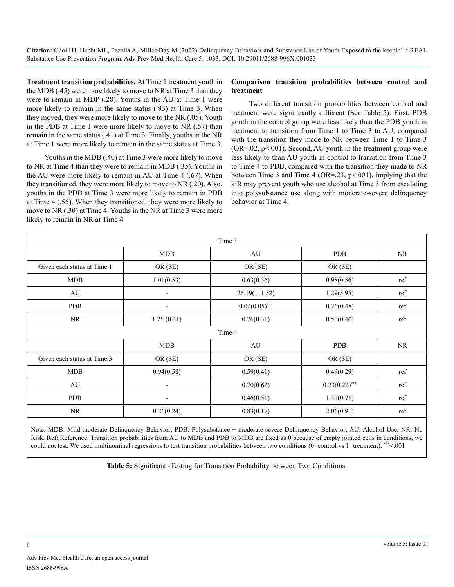**Treatment transition probabilities.** At Time 1 treatment youth in the MDB (.45) were more likely to move to NR at Time 3 than they were to remain in MDP (.28). Youths in the AU at Time 1 were more likely to remain in the same status (.93) at Time 3. When they moved, they were more likely to move to the NR (.05). Youth in the PDB at Time 1 were more likely to move to NR (.57) than remain in the same status (.41) at Time 3. Finally, youths in the NR at Time 1 were more likely to remain in the same status at Time 3.

Youths in the MDB (.40) at Time 3 were more likely to move to NR at Time 4 than they were to remain in MDB (.35). Youths in the AU were more likely to remain in AU at Time 4 (.67). When they transitioned, they were more likely to move to NR (.20). Also, youths in the PDB at Time 3 were more likely to remain in PDB at Time 4 (.55). When they transitioned, they were more likely to move to NR (.30) at Time 4. Youths in the NR at Time 3 were more likely to remain in NR at Time 4.

#### **Comparison transition probabilities between control and treatment**

Two different transition probabilities between control and treatment were significantly different (See Table 5). First, PDB youth in the control group were less likely than the PDB youth in treatment to transition from Time 1 to Time 3 to AU, compared with the transition they made to NR between Time 1 to Time 3  $(OR=.02, p<.001)$ . Second, AU youth in the treatment group were less likely to than AU youth in control to transition from Time 3 to Time 4 to PDB, compared with the transition they made to NR between Time 3 and Time 4 (OR=.23,  $p \le 0.001$ ), implying that the kiR may prevent youth who use alcohol at Time 3 from escalating into polysubstance use along with moderate-severe delinquency behavior at Time 4.

| Time 3                      |                          |                  |                  |     |  |  |  |  |
|-----------------------------|--------------------------|------------------|------------------|-----|--|--|--|--|
|                             | <b>MDB</b>               | AU               | <b>PDB</b>       | NR  |  |  |  |  |
| Given each status at Time 1 | OR (SE)                  | OR (SE)          | OR (SE)          |     |  |  |  |  |
| <b>MDB</b>                  | 1.01(0.53)               | 0.63(0.36)       | 0.98(0.56)       | ref |  |  |  |  |
| AU                          | $\overline{\phantom{a}}$ | 26.19(111.52)    | 1.29(5.95)       | ref |  |  |  |  |
| <b>PDB</b>                  | $\overline{\phantom{0}}$ | $0.02(0.05)$ *** | 0.26(0.48)       | ref |  |  |  |  |
| <b>NR</b>                   | 1.25(0.41)               | 0.76(0.31)       | 0.50(0.40)       | ref |  |  |  |  |
|                             | Time 4                   |                  |                  |     |  |  |  |  |
| MDB<br><b>PDB</b><br>AU     |                          |                  |                  |     |  |  |  |  |
| Given each status at Time 3 | OR (SE)                  | OR (SE)          | OR (SE)          |     |  |  |  |  |
| <b>MDB</b>                  | 0.94(0.58)               | 0.59(0.41)       | 0.49(0.29)       | ref |  |  |  |  |
| AU                          | $\overline{\phantom{a}}$ | 0.70(0.62)       | $0.23(0.22)$ *** | ref |  |  |  |  |
| <b>PDB</b>                  | $\overline{\phantom{a}}$ | 0.46(0.51)       | 1.31(0.78)       | ref |  |  |  |  |
| NR                          | 0.86(0.24)               | 0.83(0.17)       | 2.06(0.91)       | ref |  |  |  |  |

Note. MDB: Mild-moderate Delinquency Behavior; PDB: Polysubstance + moderate-severe Delinquency Behavior; AU: Alcohol Use; NR: No Risk. Ref: Reference. Transition probabilities from AU to MDB and PDB to MDB are fixed as 0 because of empty jointed cells in conditions, we could not test. We used multinominal regressions to test transition probabilities between two conditions (0=control vs 1=treatment). \*\*\*<.001

**Table 5:** Significant -Testing for Transition Probability between Two Conditions.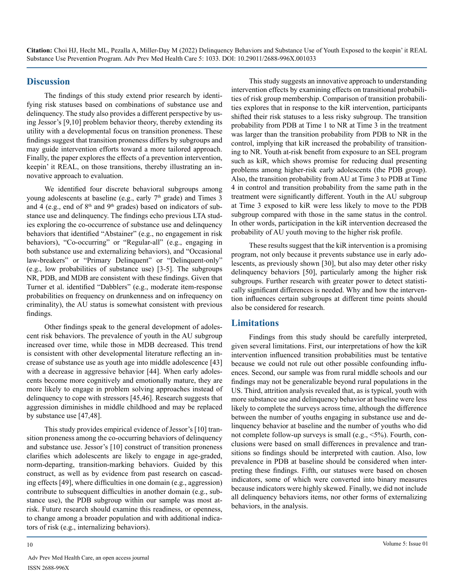#### **Discussion**

The findings of this study extend prior research by identifying risk statuses based on combinations of substance use and delinquency. The study also provides a different perspective by using Jessor's [9,10] problem behavior theory, thereby extending its utility with a developmental focus on transition proneness. These findings suggest that transition proneness differs by subgroups and may guide intervention efforts toward a more tailored approach. Finally, the paper explores the effects of a prevention intervention, keepin' it REAL, on those transitions, thereby illustrating an innovative approach to evaluation.

We identified four discrete behavioral subgroups among young adolescents at baseline (e.g., early  $7<sup>th</sup>$  grade) and Times 3 and 4 (e.g., end of 8<sup>th</sup> and 9<sup>th</sup> grades) based on indicators of substance use and delinquency. The findings echo previous LTA studies exploring the co-occurrence of substance use and delinquency behaviors that identified "Abstainer" (e.g., no engagement in risk behaviors), "Co-occurring" or "Regular-all" (e.g., engaging in both substance use and externalizing behaviors), and "Occasional law-breakers" or "Primary Delinquent" or "Delinquent-only" (e.g., low probabilities of substance use) [3-5]. The subgroups NR, PDB, and MDB are consistent with these findings. Given that Turner et al. identified "Dabblers" (e.g., moderate item-response probabilities on frequency on drunkenness and on infrequency on criminality), the AU status is somewhat consistent with previous findings.

Other findings speak to the general development of adolescent risk behaviors. The prevalence of youth in the AU subgroup increased over time, while those in MDB decreased. This trend is consistent with other developmental literature reflecting an increase of substance use as youth age into middle adolescence [43] with a decrease in aggressive behavior [44]. When early adolescents become more cognitively and emotionally mature, they are more likely to engage in problem solving approaches instead of delinquency to cope with stressors [45,46]. Research suggests that aggression diminishes in middle childhood and may be replaced by substance use [47,48].

This study provides empirical evidence of Jessor's [10] transition proneness among the co-occurring behaviors of delinquency and substance use. Jessor's [10] construct of transition proneness clarifies which adolescents are likely to engage in age-graded, norm-departing, transition-marking behaviors. Guided by this construct, as well as by evidence from past research on cascading effects [49], where difficulties in one domain (e.g., aggression) contribute to subsequent difficulties in another domain (e.g., substance use), the PDB subgroup within our sample was most atrisk. Future research should examine this readiness, or openness, to change among a broader population and with additional indicators of risk (e.g., internalizing behaviors).

This study suggests an innovative approach to understanding intervention effects by examining effects on transitional probabilities of risk group membership. Comparison of transition probabilities explores that in response to the kiR intervention, participants shifted their risk statuses to a less risky subgroup. The transition probability from PDB at Time 1 to NR at Time 3 in the treatment was larger than the transition probability from PDB to NR in the control, implying that kiR increased the probability of transitioning to NR. Youth at-risk benefit from exposure to an SEL program such as kiR, which shows promise for reducing dual presenting problems among higher-risk early adolescents (the PDB group). Also, the transition probability from AU at Time 3 to PDB at Time 4 in control and transition probability from the same path in the treatment were significantly different. Youth in the AU subgroup at Time 3 exposed to kiR were less likely to move to the PDB subgroup compared with those in the same status in the control. In other words, participation in the kiR intervention decreased the probability of AU youth moving to the higher risk profile.

These results suggest that the kiR intervention is a promising program, not only because it prevents substance use in early adolescents, as previously shown [30], but also may deter other risky delinquency behaviors [50], particularly among the higher risk subgroups. Further research with greater power to detect statistically significant differences is needed. Why and how the intervention influences certain subgroups at different time points should also be considered for research.

#### **Limitations**

Findings from this study should be carefully interpreted, given several limitations. First, our interpretations of how the kiR intervention influenced transition probabilities must be tentative because we could not rule out other possible confounding influences. Second, our sample was from rural middle schools and our findings may not be generalizable beyond rural populations in the US. Third, attrition analysis revealed that, as is typical, youth with more substance use and delinquency behavior at baseline were less likely to complete the surveys across time, although the difference between the number of youths engaging in substance use and delinquency behavior at baseline and the number of youths who did not complete follow-up surveys is small (e.g., <5%). Fourth, conclusions were based on small differences in prevalence and transitions so findings should be interpreted with caution. Also, low prevalence in PDB at baseline should be considered when interpreting these findings. Fifth, our statuses were based on chosen indicators, some of which were converted into binary measures because indicators were highly skewed. Finally, we did not include all delinquency behaviors items, nor other forms of externalizing behaviors, in the analysis.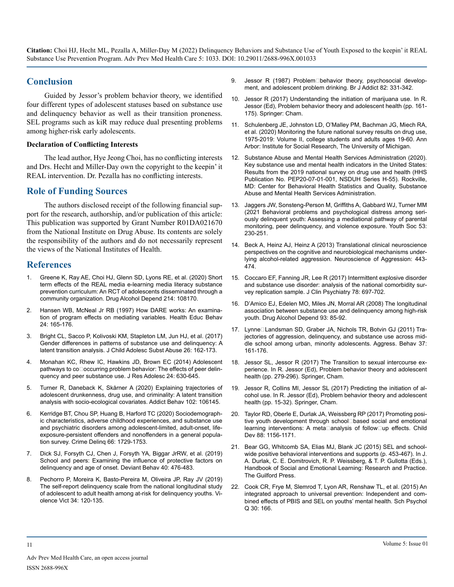#### **Conclusion**

Guided by Jessor's problem behavior theory, we identified four different types of adolescent statuses based on substance use and delinquency behavior as well as their transition proneness. SEL programs such as kiR may reduce dual presenting problems among higher-risk early adolescents.

#### **Declaration of Conflicting Interests**

The lead author, Hye Jeong Choi, has no conflicting interests and Drs. Hecht and Miller-Day own the copyright to the keepin' it REAL intervention. Dr. Pezalla has no conflicting interests.

#### **Role of Funding Sources**

The authors disclosed receipt of the following financial support for the research, authorship, and/or publication of this article: This publication was supported by Grant Number R01DA021670 from the National Institute on Drug Abuse. Its contents are solely the responsibility of the authors and do not necessarily represent the views of the National Institutes of Health.

#### **References**

- Greene K, Ray AE, Choi HJ, Glenn SD, Lyons RE, et al. (2020) Short [term effects of the REAL media e-learning media literacy substance](https://www.sciencedirect.com/science/article/abs/pii/S0376871620303355)  [prevention curriculum: An RCT of adolescents disseminated through a](https://www.sciencedirect.com/science/article/abs/pii/S0376871620303355)  [community organization. Drug](https://www.sciencedirect.com/science/article/abs/pii/S0376871620303355) Alcohol Depend 214: 108170.
- 2. [Hansen WB, McNeal Jr RB \(1997\) How DARE works: An examina](https://psycnet.apa.org/record/1997-03454-002)[tion of program effects on mediating variables. Health Educ Behav](https://psycnet.apa.org/record/1997-03454-002)  [24: 165-176.](https://psycnet.apa.org/record/1997-03454-002)
- 3. [Bright CL, Sacco P, Kolivoski KM, Stapleton LM, Jun HJ, et al. \(2017\)](https://www.tandfonline.com/doi/full/10.1080/1067828X.2016.1242100)  [Gender differences in patterns of substance use and delinquency: A](https://www.tandfonline.com/doi/full/10.1080/1067828X.2016.1242100)  latent transition analysis. [J Child Adolesc Subst Abuse](https://www.tandfonline.com/doi/full/10.1080/1067828X.2016.1242100) 26: 162-173.
- 4. [Monahan KC, Rhew IC, Hawkins JD, Brown EC \(2014\) Adolescent](https://pubmed.ncbi.nlm.nih.gov/25506186/)  pathways to co<sup>c</sup>occurring problem behavior: The effects of peer delin[quency and peer substance use. J Res Adolesc 24: 630-645](https://pubmed.ncbi.nlm.nih.gov/25506186/).
- 5. [Turner R, Daneback K, Skårner A \(2020\) Explaining trajectories of](https://pubmed.ncbi.nlm.nih.gov/31812079/)  [adolescent drunkenness, drug use, and criminality: A latent transition](https://pubmed.ncbi.nlm.nih.gov/31812079/)  [analysis with socio-ecological covariates. Addict Behav 102: 106145](https://pubmed.ncbi.nlm.nih.gov/31812079/).
- 6. [Kerridge BT, Chou SP, Huang B, Harford TC \(2020\) Sociodemograph](https://journals.sagepub.com/doi/abs/10.1177/0011128720915697)[ic characteristics, adverse childhood experiences, and substance use](https://journals.sagepub.com/doi/abs/10.1177/0011128720915697)  [and psychiatric disorders among adolescent-limited, adult-onset, life](https://journals.sagepub.com/doi/abs/10.1177/0011128720915697)[exposure-persistent offenders and nonoffenders in a general popula](https://journals.sagepub.com/doi/abs/10.1177/0011128720915697)tion survey. [Crime Delinq 66: 1729-1753.](https://journals.sagepub.com/doi/abs/10.1177/0011128720915697)
- 7. [Dick SJ, Forsyth CJ, Chen J, Forsyth YA, Biggar JrRW, et al. \(2019\)](https://www.researchgate.net/publication/323241689_School_and_Peers_Examining_the_Influence_of_Protective_Factors_on_Delinquency_and_Age_of_Onset)  [School and peers: Examining the influence of protective factors on](https://www.researchgate.net/publication/323241689_School_and_Peers_Examining_the_Influence_of_Protective_Factors_on_Delinquency_and_Age_of_Onset)  [delinquency and age of onset.](https://www.researchgate.net/publication/323241689_School_and_Peers_Examining_the_Influence_of_Protective_Factors_on_Delinquency_and_Age_of_Onset) Deviant Behav 40: 476-483.
- 8. [Pechorro P, Moreira K, Basto-Pereira M, Oliveira JP, Ray JV \(2019\)](https://pubmed.ncbi.nlm.nih.gov/30808797/)  [The self-report delinquency scale from the national longitudinal study](https://pubmed.ncbi.nlm.nih.gov/30808797/)  [of adolescent to adult health among at-risk for delinquency youths.](https://pubmed.ncbi.nlm.nih.gov/30808797/) Vi[olence Vict 34: 120-135.](https://pubmed.ncbi.nlm.nih.gov/30808797/)
- 9. Jessor R (1987) Problem□behavior theory, psychosocial develop[ment, and adolescent problem drinking. Br J Addict 82: 331-342](https://pubmed.ncbi.nlm.nih.gov/3472582/).
- 10. [Jessor R \(2017\) Understanding the initiation of marijuana use. In R.](https://ibs.colorado.edu/jessor/pb_theory.html)  [Jessor \(Ed\), Problem behavior theory and adolescent health](https://ibs.colorado.edu/jessor/pb_theory.html) (pp. 161- [175\). Springer: Cham](https://ibs.colorado.edu/jessor/pb_theory.html).
- 11. [Schulenberg JE, Johnston LD, O'Malley PM, Bachman JG, Miech RA,](https://files.eric.ed.gov/fulltext/ED608266.pdf)  [et al. \(2020\) Monitoring the future national survey results on drug use,](https://files.eric.ed.gov/fulltext/ED608266.pdf)  [1975-2019: Volume II, college students and adults ages 19-60. Ann](https://files.eric.ed.gov/fulltext/ED608266.pdf)  [Arbor: Institute for Social Research, The University of Michigan.](https://files.eric.ed.gov/fulltext/ED608266.pdf)
- 12. [Substance Abuse and Mental Health Services Administration \(2020\).](https://www.samhsa.gov/data/sites/default/files/reports/rpt29393/2019NSDUHFFRPDFWHTML/2019NSDUHFFR090120.htm)  [Key substance use and mental health indicators in the United States:](https://www.samhsa.gov/data/sites/default/files/reports/rpt29393/2019NSDUHFFRPDFWHTML/2019NSDUHFFR090120.htm)  [Results from the 2019 national survey on drug use and health \(HHS](https://www.samhsa.gov/data/sites/default/files/reports/rpt29393/2019NSDUHFFRPDFWHTML/2019NSDUHFFR090120.htm) [Publication No. PEP20-07-01-001, NSDUH Series H-55\). Rockville,](https://www.samhsa.gov/data/sites/default/files/reports/rpt29393/2019NSDUHFFRPDFWHTML/2019NSDUHFFR090120.htm)  [MD: Center for Behavioral Health Statistics and Quality, Substance](https://www.samhsa.gov/data/sites/default/files/reports/rpt29393/2019NSDUHFFRPDFWHTML/2019NSDUHFFR090120.htm)  [Abuse and Mental Health Services Administration](https://www.samhsa.gov/data/sites/default/files/reports/rpt29393/2019NSDUHFFRPDFWHTML/2019NSDUHFFR090120.htm).
- 13. [Jaggers JW, Sonsteng-Person M, Griffiths A, Gabbard WJ, Turner MM](https://journals.sagepub.com/doi/abs/10.1177/0044118X20922114)  [\(2021 Behavioral problems and psychological distress among seri](https://journals.sagepub.com/doi/abs/10.1177/0044118X20922114)[ously delinquent youth: Assessing a mediational pathway of parental](https://journals.sagepub.com/doi/abs/10.1177/0044118X20922114)  [monitoring, peer delinquency, and violence exposure. Youth Soc 53:](https://journals.sagepub.com/doi/abs/10.1177/0044118X20922114)  [230-251.](https://journals.sagepub.com/doi/abs/10.1177/0044118X20922114)
- 14. [Beck A, Heinz AJ, Heinz A \(2013\) Translational clinical neuroscience](https://pubmed.ncbi.nlm.nih.gov/24338662/)  [perspectives on the cognitive and neurobiological mechanisms under](https://pubmed.ncbi.nlm.nih.gov/24338662/)lying alcohol-related aggression. [Neuroscience of Aggression: 443-](https://pubmed.ncbi.nlm.nih.gov/24338662/) [474](https://pubmed.ncbi.nlm.nih.gov/24338662/).
- 15. [Coccaro EF, Fanning JR, Lee R \(2017\) Intermittent explosive disorder](https://pubmed.ncbi.nlm.nih.gov/28252880/)  [and substance use disorder: analysis of the national comorbidity sur](https://pubmed.ncbi.nlm.nih.gov/28252880/)[vey replication sample. J Clin Psychiatry](https://pubmed.ncbi.nlm.nih.gov/28252880/) 78: 697-702.
- 16. [D'Amico EJ, Edelen MO, Miles JN, Morral AR \(2008\) The longitudinal](https://pubmed.ncbi.nlm.nih.gov/17977669/)  [association between substance use and delinquency among high-risk](https://pubmed.ncbi.nlm.nih.gov/17977669/)  youth. Drug Alcohol [Depend 93: 85-92.](https://pubmed.ncbi.nlm.nih.gov/17977669/)
- 17. Lynne⊡Landsman SD, Graber JA, Nichols TR, Botvin GJ (2011) Tra[jectories of aggression, delinquency, and substance use across mid](https://pubmed.ncbi.nlm.nih.gov/21274853/)[dle school among urban, minority adolescents. Aggress. Behav 37:](https://pubmed.ncbi.nlm.nih.gov/21274853/)  [161-176](https://pubmed.ncbi.nlm.nih.gov/21274853/).
- 18. Jessor SL, Jessor R (2017) The Transition to sexual intercourse experience. In R. Jessor (Ed), Problem behavior theory and adolescent health (pp. 279-296). Springer, Cham.
- 19. Jessor R, Collins MI, Jessor SL (2017) Predicting the initiation of alcohol use. In R. Jessor (Ed), Problem behavior theory and adolescent health (pp. 15-32). Springer, Cham.
- 20. [Taylor RD, Oberle E, Durlak JA, Weissberg RP \(2017\) Promoting posi](https://pubmed.ncbi.nlm.nih.gov/28685826/)tive youth development through school based social and emotional learning interventions: A meta□analysis of follow□up effects. Child [Dev 88: 1156-1171.](https://pubmed.ncbi.nlm.nih.gov/28685826/)
- 21. Bear GG, Whitcomb SA, Elias MJ, Blank JC (2015) SEL and schoolwide positive behavioral interventions and supports (p. 453-467). In J. A. Durlak, C. E. Domitrovich, R. P. Weissberg, & T. P. Gullotta (Eds.), Handbook of Social and Emotional Learning: Research and Practice. The Guilford Press.
- 22. [Cook CR, Frye M, Slemrod T, Lyon AR, Renshaw TL, et al. \(2015\) An](https://www.ncbi.nlm.nih.gov/pmc/articles/PMC4446139/)  [integrated approach to universal prevention: Independent and com](https://www.ncbi.nlm.nih.gov/pmc/articles/PMC4446139/)[bined effects of PBIS and SEL on youths' mental health. Sch Psychol](https://www.ncbi.nlm.nih.gov/pmc/articles/PMC4446139/)  [Q 30: 166](https://www.ncbi.nlm.nih.gov/pmc/articles/PMC4446139/).